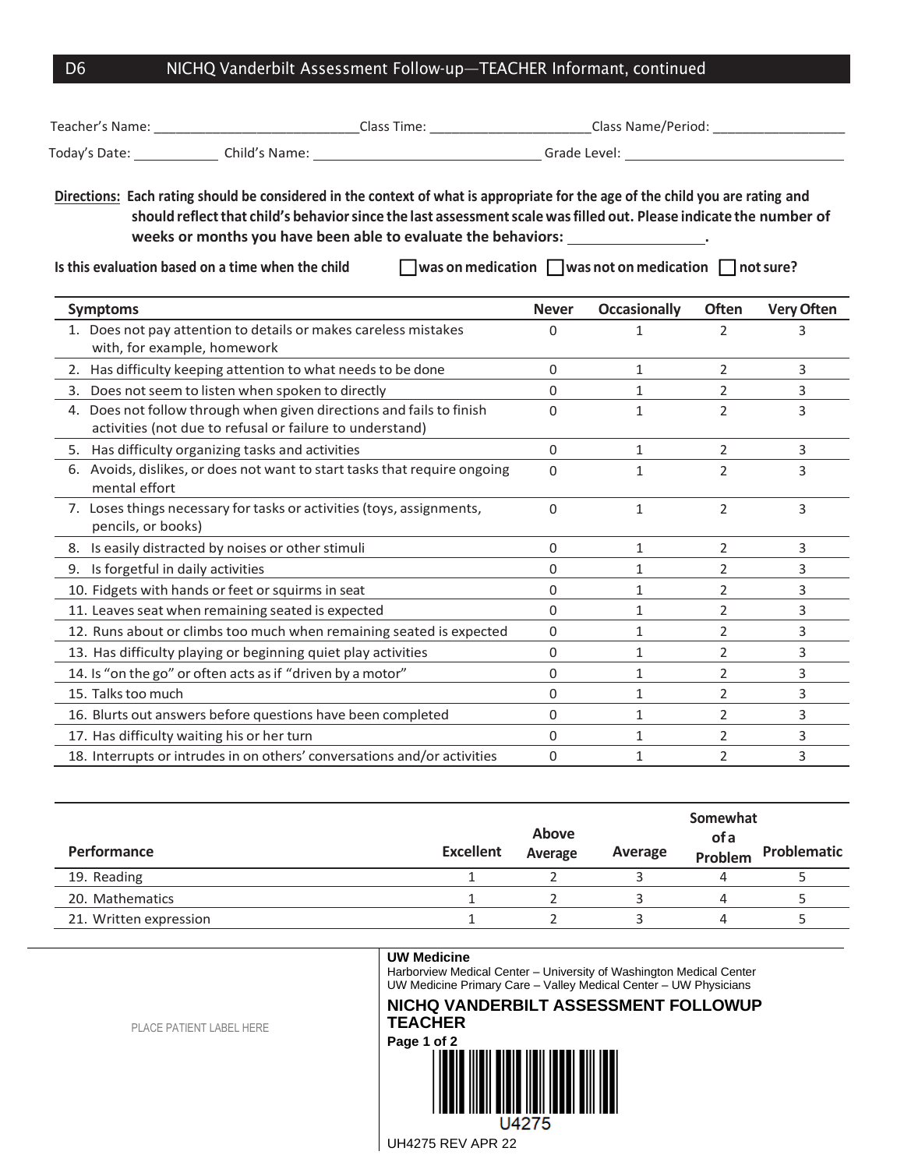## D6 NICHQ Vanderbilt Assessment Follow-up—TEACHER Informant, continued

| Teacher's Name: ___________________________________Class Time: __________________________Class Name/Period: __________________________ |                                                                                                                                                                                                                                                                                                                                                                                                |                                                                                                      |              |                                                                        |                |                   |  |  |
|----------------------------------------------------------------------------------------------------------------------------------------|------------------------------------------------------------------------------------------------------------------------------------------------------------------------------------------------------------------------------------------------------------------------------------------------------------------------------------------------------------------------------------------------|------------------------------------------------------------------------------------------------------|--------------|------------------------------------------------------------------------|----------------|-------------------|--|--|
|                                                                                                                                        |                                                                                                                                                                                                                                                                                                                                                                                                | Today's Date: _______________Child's Name: ___________________________________Grade Level: _________ |              |                                                                        |                |                   |  |  |
|                                                                                                                                        | Directions: Each rating should be considered in the context of what is appropriate for the age of the child you are rating and<br>should reflect that child's behavior since the last assessment scale was filled out. Please indicate the number of<br>weeks or months you have been able to evaluate the behaviors: __________________.<br>Is this evaluation based on a time when the child |                                                                                                      |              | $\Box$ was on medication $\Box$ was not on medication $\Box$ not sure? |                |                   |  |  |
| <b>Symptoms</b>                                                                                                                        |                                                                                                                                                                                                                                                                                                                                                                                                |                                                                                                      | <b>Never</b> | <b>Occasionally</b>                                                    | Often          | <b>Very Often</b> |  |  |
| with, for example, homework                                                                                                            | 1. Does not pay attention to details or makes careless mistakes                                                                                                                                                                                                                                                                                                                                |                                                                                                      | $\Omega$     | $\mathbf{1}$                                                           | 2              | 3                 |  |  |
|                                                                                                                                        | 2. Has difficulty keeping attention to what needs to be done                                                                                                                                                                                                                                                                                                                                   |                                                                                                      | 0            | $\mathbf{1}$                                                           | 2              | 3                 |  |  |
|                                                                                                                                        | 3. Does not seem to listen when spoken to directly                                                                                                                                                                                                                                                                                                                                             |                                                                                                      | 0            | $\mathbf{1}$                                                           | $\overline{2}$ | 3                 |  |  |
|                                                                                                                                        | 4. Does not follow through when given directions and fails to finish<br>activities (not due to refusal or failure to understand)                                                                                                                                                                                                                                                               |                                                                                                      | 0            | $\mathbf{1}$                                                           | 2              | 3                 |  |  |
|                                                                                                                                        | 5. Has difficulty organizing tasks and activities                                                                                                                                                                                                                                                                                                                                              |                                                                                                      | $\mathbf 0$  | $\mathbf{1}$                                                           | $\overline{2}$ | 3                 |  |  |
| mental effort                                                                                                                          | 6. Avoids, dislikes, or does not want to start tasks that require ongoing                                                                                                                                                                                                                                                                                                                      |                                                                                                      | $\Omega$     | $\mathbf{1}$                                                           | 2              | 3                 |  |  |
| pencils, or books)                                                                                                                     | 7. Loses things necessary for tasks or activities (toys, assignments,                                                                                                                                                                                                                                                                                                                          |                                                                                                      | $\Omega$     | $\mathbf{1}$                                                           | $\overline{2}$ | 3                 |  |  |
|                                                                                                                                        | 8. Is easily distracted by noises or other stimuli                                                                                                                                                                                                                                                                                                                                             |                                                                                                      | $\Omega$     | $\mathbf{1}$                                                           | $\overline{2}$ | 3                 |  |  |
| 9. Is forgetful in daily activities                                                                                                    |                                                                                                                                                                                                                                                                                                                                                                                                |                                                                                                      | 0            | $\mathbf{1}$                                                           | 2              | 3                 |  |  |
|                                                                                                                                        | 10. Fidgets with hands or feet or squirms in seat                                                                                                                                                                                                                                                                                                                                              |                                                                                                      | 0            | $\mathbf{1}$                                                           | $\overline{2}$ | 3                 |  |  |
|                                                                                                                                        | 11. Leaves seat when remaining seated is expected                                                                                                                                                                                                                                                                                                                                              |                                                                                                      | $\Omega$     | $\mathbf{1}$                                                           | $\overline{2}$ | 3                 |  |  |
|                                                                                                                                        | 12. Runs about or climbs too much when remaining seated is expected                                                                                                                                                                                                                                                                                                                            |                                                                                                      | 0            | 1                                                                      | 2              | 3                 |  |  |
|                                                                                                                                        | 13. Has difficulty playing or beginning quiet play activities                                                                                                                                                                                                                                                                                                                                  |                                                                                                      | 0            | $\mathbf{1}$                                                           | 2              | 3                 |  |  |
|                                                                                                                                        | 14. Is "on the go" or often acts as if "driven by a motor"                                                                                                                                                                                                                                                                                                                                     |                                                                                                      | 0            | $\mathbf{1}$                                                           | 2              | 3                 |  |  |
| 15. Talks too much                                                                                                                     |                                                                                                                                                                                                                                                                                                                                                                                                |                                                                                                      | 0            | $\mathbf{1}$                                                           | 2              | 3                 |  |  |
|                                                                                                                                        | 16. Blurts out answers before questions have been completed                                                                                                                                                                                                                                                                                                                                    |                                                                                                      | 0            | $\mathbf{1}$                                                           | 2              | 3                 |  |  |
|                                                                                                                                        | 17. Has difficulty waiting his or her turn                                                                                                                                                                                                                                                                                                                                                     |                                                                                                      | $\Omega$     | $\mathbf{1}$                                                           | 2              | 3                 |  |  |
|                                                                                                                                        | 18. Interrupts or intrudes in on others' conversations and/or activities                                                                                                                                                                                                                                                                                                                       |                                                                                                      | 0            | $\mathbf{1}$                                                           | $\overline{2}$ | 3                 |  |  |

| <b>Performance</b>     | <b>Excellent</b> | <b>Above</b><br>Average | Average | Somewhat<br>of a<br>Problem | Problematic |
|------------------------|------------------|-------------------------|---------|-----------------------------|-------------|
| 19. Reading            |                  |                         |         |                             |             |
| 20. Mathematics        |                  |                         |         | Δ                           |             |
| 21. Written expression |                  |                         |         | д                           |             |

## **UW Medicine**

Harborview Medical Center – University of Washington Medical Center UW Medicine Primary Care – Valley Medical Center – UW Physicians

**NICHQ VANDERBILT ASSESSMENT FOLLOWUP TEACHER**



PLACE PATIENT LABEL HERE

UH4275 REV APR 22